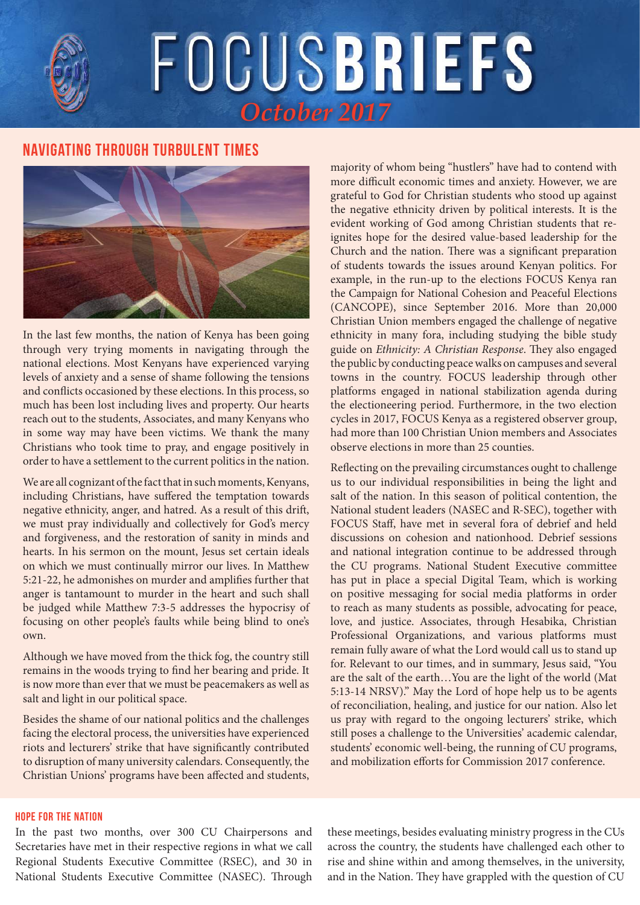# FOCUSBRIEFS

# **Navigating through Turbulent Times**



In the last few months, the nation of Kenya has been going through very trying moments in navigating through the national elections. Most Kenyans have experienced varying levels of anxiety and a sense of shame following the tensions and conflicts occasioned by these elections. In this process, so much has been lost including lives and property. Our hearts reach out to the students, Associates, and many Kenyans who in some way may have been victims. We thank the many Christians who took time to pray, and engage positively in order to have a settlement to the current politics in the nation.

We are all cognizant of the fact that in such moments, Kenyans, including Christians, have suffered the temptation towards negative ethnicity, anger, and hatred. As a result of this drift, we must pray individually and collectively for God's mercy and forgiveness, and the restoration of sanity in minds and hearts. In his sermon on the mount, Jesus set certain ideals on which we must continually mirror our lives. In Matthew 5:21-22, he admonishes on murder and amplifies further that anger is tantamount to murder in the heart and such shall be judged while Matthew 7:3-5 addresses the hypocrisy of focusing on other people's faults while being blind to one's own.

Although we have moved from the thick fog, the country still remains in the woods trying to find her bearing and pride. It is now more than ever that we must be peacemakers as well as salt and light in our political space.

Besides the shame of our national politics and the challenges facing the electoral process, the universities have experienced riots and lecturers' strike that have significantly contributed to disruption of many university calendars. Consequently, the Christian Unions' programs have been affected and students,

# majority of whom being "hustlers" have had to contend with more difficult economic times and anxiety. However, we are grateful to God for Christian students who stood up against the negative ethnicity driven by political interests. It is the evident working of God among Christian students that reignites hope for the desired value-based leadership for the Church and the nation. There was a significant preparation of students towards the issues around Kenyan politics. For example, in the run-up to the elections FOCUS Kenya ran the Campaign for National Cohesion and Peaceful Elections (CANCOPE), since September 2016. More than 20,000 Christian Union members engaged the challenge of negative ethnicity in many fora, including studying the bible study guide on *Ethnicity: A Christian Response*. They also engaged the public by conducting peace walks on campuses and several towns in the country. FOCUS leadership through other platforms engaged in national stabilization agenda during the electioneering period. Furthermore, in the two election cycles in 2017, FOCUS Kenya as a registered observer group, had more than 100 Christian Union members and Associates observe elections in more than 25 counties.

Reflecting on the prevailing circumstances ought to challenge us to our individual responsibilities in being the light and salt of the nation. In this season of political contention, the National student leaders (NASEC and R-SEC), together with FOCUS Staff, have met in several fora of debrief and held discussions on cohesion and nationhood. Debrief sessions and national integration continue to be addressed through the CU programs. National Student Executive committee has put in place a special Digital Team, which is working on positive messaging for social media platforms in order to reach as many students as possible, advocating for peace, love, and justice. Associates, through Hesabika, Christian Professional Organizations, and various platforms must remain fully aware of what the Lord would call us to stand up for. Relevant to our times, and in summary, Jesus said, "You are the salt of the earth…You are the light of the world (Mat 5:13-14 NRSV)." May the Lord of hope help us to be agents of reconciliation, healing, and justice for our nation. Also let us pray with regard to the ongoing lecturers' strike, which still poses a challenge to the Universities' academic calendar, students' economic well-being, the running of CU programs, and mobilization efforts for Commission 2017 conference.

### **Hope for the Nation**

In the past two months, over 300 CU Chairpersons and Secretaries have met in their respective regions in what we call Regional Students Executive Committee (RSEC), and 30 in National Students Executive Committee (NASEC). Through these meetings, besides evaluating ministry progress in the CUs across the country, the students have challenged each other to rise and shine within and among themselves, in the university, and in the Nation. They have grappled with the question of CU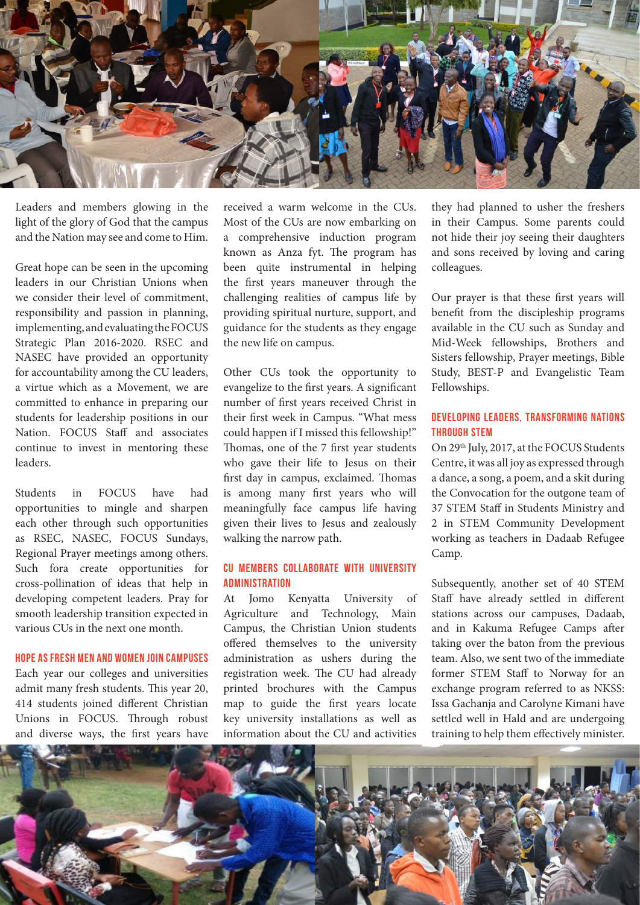

Leaders and members glowing in the light of the glory of God that the campus and the Nation may see and come to Him.

Great hope can be seen in the upcoming leaders in our Christian Unions when we consider their level of commitment, responsibility and passion in planning, implementing, and evaluating the FOCUS Strategic Plan 2016-2020. RSEC and NASEC have provided an opportunity for accountability among the CU leaders, a virtue which as a Movement, we are committed to enhance in preparing our students for leadership positions in our Nation. FOCUS Staff and associates continue to invest in mentoring these leaders.

Students in FOCUS have had opportunities to mingle and sharpen each other through such opportunities as RSEC, NASEC, FOCUS Sundays, Regional Prayer meetings among others. Such fora create opportunities for cross-pollination of ideas that help in developing competent leaders. Pray for smooth leadership transition expected in various CUs in the next one month.

### **Hope as Fresh Men and Women join Campuses**

Each year our colleges and universities admit many fresh students. This year 20, 414 students joined different Christian Unions in FOCUS. Through robust and diverse ways, the first years have received a warm welcome in the CUs. Most of the CUs are now embarking on a comprehensive induction program known as Anza fyt. The program has been quite instrumental in helping the first years maneuver through the challenging realities of campus life by providing spiritual nurture, support, and guidance for the students as they engage the new life on campus.

Other CUs took the opportunity to evangelize to the first years. A significant number of first years received Christ in their first week in Campus. "What mess could happen if I missed this fellowship!" Thomas, one of the 7 first year students who gave their life to Jesus on their first day in campus, exclaimed. Thomas is among many first years who will meaningfully face campus life having given their lives to Jesus and zealously walking the narrow path.

# **CU Members Collaborate with University Administration**

At Jomo Kenyatta University of Agriculture and Technology, Main Campus, the Christian Union students offered themselves to the university administration as ushers during the registration week. The CU had already printed brochures with the Campus map to guide the first years locate key university installations as well as information about the CU and activities

they had planned to usher the freshers in their Campus. Some parents could not hide their joy seeing their daughters and sons received by loving and caring colleagues.

Our prayer is that these first years will benefit from the discipleship programs available in the CU such as Sunday and Mid-Week fellowships, Brothers and Sisters fellowship, Prayer meetings, Bible Study, BEST-P and Evangelistic Team Fellowships.

# **Developing Leaders, Transforming Nations through STEM**

On 29th July, 2017, at the FOCUS Students Centre, it was all joy as expressed through a dance, a song, a poem, and a skit during the Convocation for the outgone team of 37 STEM Staff in Students Ministry and 2 in STEM Community Development working as teachers in Dadaab Refugee Camp.

Subsequently, another set of 40 STEM Staff have already settled in different stations across our campuses, Dadaab, and in Kakuma Refugee Camps after taking over the baton from the previous team. Also, we sent two of the immediate former STEM Staff to Norway for an exchange program referred to as NKSS: Issa Gachanja and Carolyne Kimani have settled well in Hald and are undergoing training to help them effectively minister.

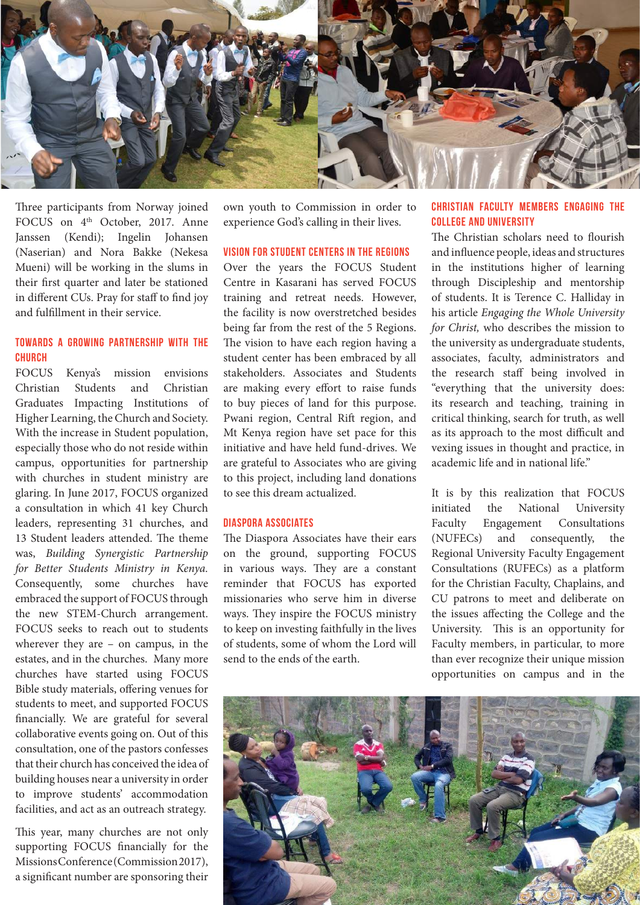

Three participants from Norway joined FOCUS on 4<sup>th</sup> October, 2017. Anne Janssen (Kendi); Ingelin Johansen (Naserian) and Nora Bakke (Nekesa Mueni) will be working in the slums in their first quarter and later be stationed in different CUs. Pray for staff to find joy and fulfillment in their service.

# **Towards a Growing Partnership with the Church**

FOCUS Kenya's mission envisions Christian Students and Christian Graduates Impacting Institutions of Higher Learning, the Church and Society. With the increase in Student population, especially those who do not reside within campus, opportunities for partnership with churches in student ministry are glaring. In June 2017, FOCUS organized a consultation in which 41 key Church leaders, representing 31 churches, and 13 Student leaders attended. The theme was, *Building Synergistic Partnership for Better Students Ministry in Kenya.*  Consequently, some churches have embraced the support of FOCUS through the new STEM-Church arrangement. FOCUS seeks to reach out to students wherever they are – on campus, in the estates, and in the churches. Many more churches have started using FOCUS Bible study materials, offering venues for students to meet, and supported FOCUS financially. We are grateful for several collaborative events going on. Out of this consultation, one of the pastors confesses that their church has conceived the idea of building houses near a university in order to improve students' accommodation facilities, and act as an outreach strategy.

This year, many churches are not only supporting FOCUS financially for the Missions Conference (Commission 2017), a significant number are sponsoring their

own youth to Commission in order to experience God's calling in their lives.

### **Vision for Student Centers in the Regions**

Over the years the FOCUS Student Centre in Kasarani has served FOCUS training and retreat needs. However, the facility is now overstretched besides being far from the rest of the 5 Regions. The vision to have each region having a student center has been embraced by all stakeholders. Associates and Students are making every effort to raise funds to buy pieces of land for this purpose. Pwani region, Central Rift region, and Mt Kenya region have set pace for this initiative and have held fund-drives. We are grateful to Associates who are giving to this project, including land donations to see this dream actualized.

# **Diaspora Associates**

The Diaspora Associates have their ears on the ground, supporting FOCUS in various ways. They are a constant reminder that FOCUS has exported missionaries who serve him in diverse ways. They inspire the FOCUS ministry to keep on investing faithfully in the lives of students, some of whom the Lord will send to the ends of the earth.

# **Christian Faculty Members Engaging the College and University**

The Christian scholars need to flourish and influence people, ideas and structures in the institutions higher of learning through Discipleship and mentorship of students. It is Terence C. Halliday in his article *Engaging the Whole University for Christ,* who describes the mission to the university as undergraduate students, associates, faculty, administrators and the research staff being involved in "everything that the university does: its research and teaching, training in critical thinking, search for truth, as well as its approach to the most difficult and vexing issues in thought and practice, in academic life and in national life."

It is by this realization that FOCUS initiated the National University Faculty Engagement Consultations (NUFECs) and consequently, the Regional University Faculty Engagement Consultations (RUFECs) as a platform for the Christian Faculty, Chaplains, and CU patrons to meet and deliberate on the issues affecting the College and the University. This is an opportunity for Faculty members, in particular, to more than ever recognize their unique mission opportunities on campus and in the